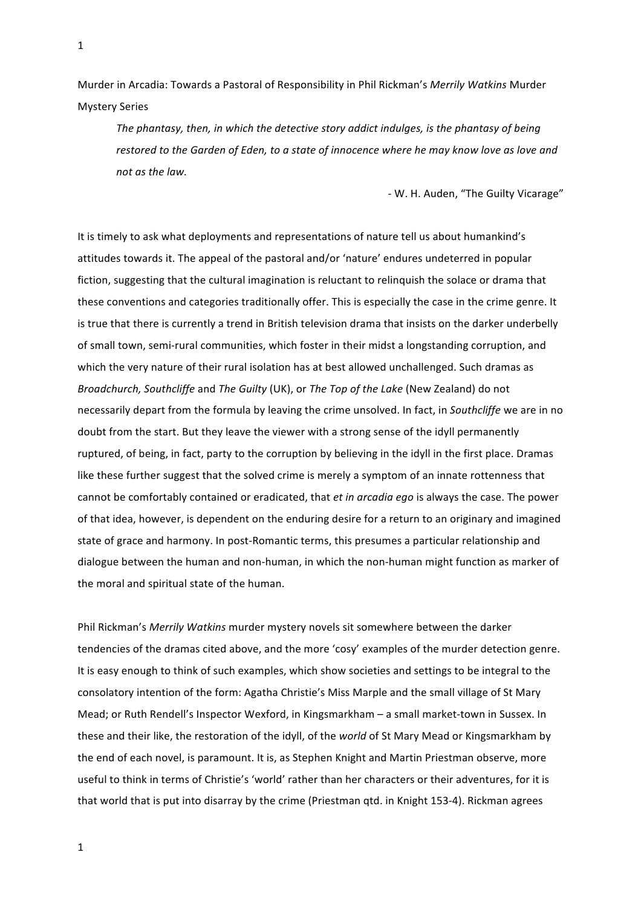Murder in Arcadia: Towards a Pastoral of Responsibility in Phil Rickman's *Merrily Watkins* Murder Mystery Series

The phantasy, then, in which the detective story addict indulges, is the phantasy of being restored to the Garden of Eden, to a state of innocence where he may know love as love and *not as the law.*

- W. H. Auden, "The Guilty Vicarage"

It is timely to ask what deployments and representations of nature tell us about humankind's attitudes towards it. The appeal of the pastoral and/or 'nature' endures undeterred in popular fiction, suggesting that the cultural imagination is reluctant to relinquish the solace or drama that these conventions and categories traditionally offer. This is especially the case in the crime genre. It is true that there is currently a trend in British television drama that insists on the darker underbelly of small town, semi-rural communities, which foster in their midst a longstanding corruption, and which the very nature of their rural isolation has at best allowed unchallenged. Such dramas as *Broadchurch, Southcliffe* and *The Guilty* (UK), or *The Top of the Lake* (New Zealand) do not necessarily depart from the formula by leaving the crime unsolved. In fact, in *Southcliffe* we are in no doubt from the start. But they leave the viewer with a strong sense of the idyll permanently ruptured, of being, in fact, party to the corruption by believing in the idyll in the first place. Dramas like these further suggest that the solved crime is merely a symptom of an innate rottenness that cannot be comfortably contained or eradicated, that *et in arcadia ego* is always the case. The power of that idea, however, is dependent on the enduring desire for a return to an originary and imagined state of grace and harmony. In post-Romantic terms, this presumes a particular relationship and dialogue between the human and non-human, in which the non-human might function as marker of the moral and spiritual state of the human.

Phil Rickman's *Merrily Watkins* murder mystery novels sit somewhere between the darker tendencies of the dramas cited above, and the more 'cosy' examples of the murder detection genre. It is easy enough to think of such examples, which show societies and settings to be integral to the consolatory intention of the form: Agatha Christie's Miss Marple and the small village of St Mary Mead; or Ruth Rendell's Inspector Wexford, in Kingsmarkham - a small market-town in Sussex. In these and their like, the restoration of the idyll, of the *world* of St Mary Mead or Kingsmarkham by the end of each novel, is paramount. It is, as Stephen Knight and Martin Priestman observe, more useful to think in terms of Christie's 'world' rather than her characters or their adventures, for it is that world that is put into disarray by the crime (Priestman qtd. in Knight 153-4). Rickman agrees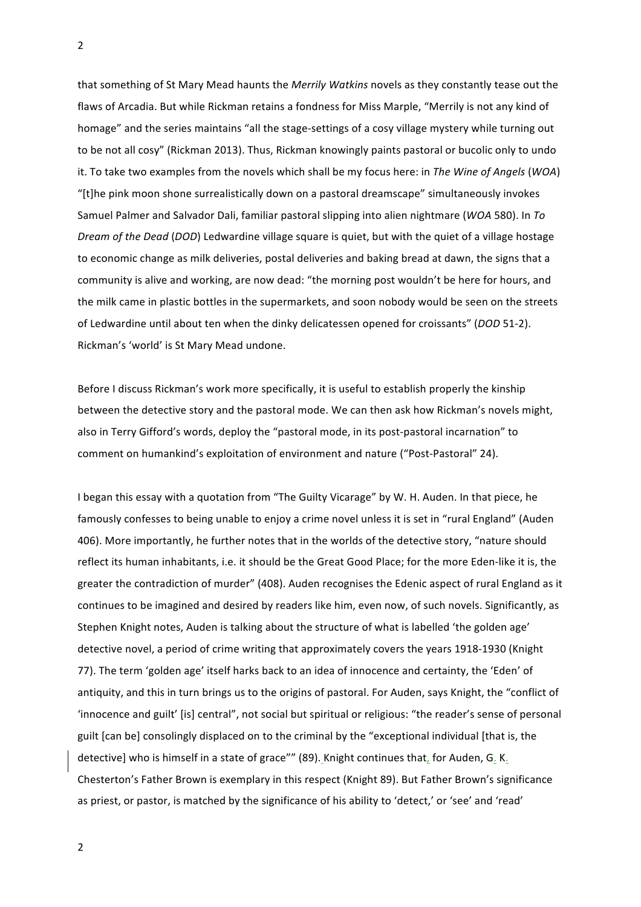that something of St Mary Mead haunts the *Merrily Watkins* novels as they constantly tease out the flaws of Arcadia. But while Rickman retains a fondness for Miss Marple, "Merrily is not any kind of homage" and the series maintains "all the stage-settings of a cosy village mystery while turning out to be not all cosy" (Rickman 2013). Thus, Rickman knowingly paints pastoral or bucolic only to undo it. To take two examples from the novels which shall be my focus here: in The Wine of Angels (WOA) "[t]he pink moon shone surrealistically down on a pastoral dreamscape" simultaneously invokes Samuel Palmer and Salvador Dali, familiar pastoral slipping into alien nightmare (*WOA* 580). In *To Dream of the Dead* (*DOD*) Ledwardine village square is quiet, but with the quiet of a village hostage to economic change as milk deliveries, postal deliveries and baking bread at dawn, the signs that a community is alive and working, are now dead: "the morning post wouldn't be here for hours, and the milk came in plastic bottles in the supermarkets, and soon nobody would be seen on the streets of Ledwardine until about ten when the dinky delicatessen opened for croissants" (*DOD* 51-2). Rickman's 'world' is St Mary Mead undone.

Before I discuss Rickman's work more specifically, it is useful to establish properly the kinship between the detective story and the pastoral mode. We can then ask how Rickman's novels might, also in Terry Gifford's words, deploy the "pastoral mode, in its post-pastoral incarnation" to comment on humankind's exploitation of environment and nature ("Post-Pastoral" 24).

I began this essay with a quotation from "The Guilty Vicarage" by W. H. Auden. In that piece, he famously confesses to being unable to enjoy a crime novel unless it is set in "rural England" (Auden 406). More importantly, he further notes that in the worlds of the detective story, "nature should reflect its human inhabitants, i.e. it should be the Great Good Place; for the more Eden-like it is, the greater the contradiction of murder" (408). Auden recognises the Edenic aspect of rural England as it continues to be imagined and desired by readers like him, even now, of such novels. Significantly, as Stephen Knight notes, Auden is talking about the structure of what is labelled 'the golden age' detective novel, a period of crime writing that approximately covers the years 1918-1930 (Knight 77). The term 'golden age' itself harks back to an idea of innocence and certainty, the 'Eden' of antiquity, and this in turn brings us to the origins of pastoral. For Auden, says Knight, the "conflict of 'innocence and guilt' [is] central", not social but spiritual or religious: "the reader's sense of personal guilt [can be] consolingly displaced on to the criminal by the "exceptional individual [that is, the detective] who is himself in a state of grace"" (89). Knight continues that, for Auden, G. K. Chesterton's Father Brown is exemplary in this respect (Knight 89). But Father Brown's significance as priest, or pastor, is matched by the significance of his ability to 'detect,' or 'see' and 'read'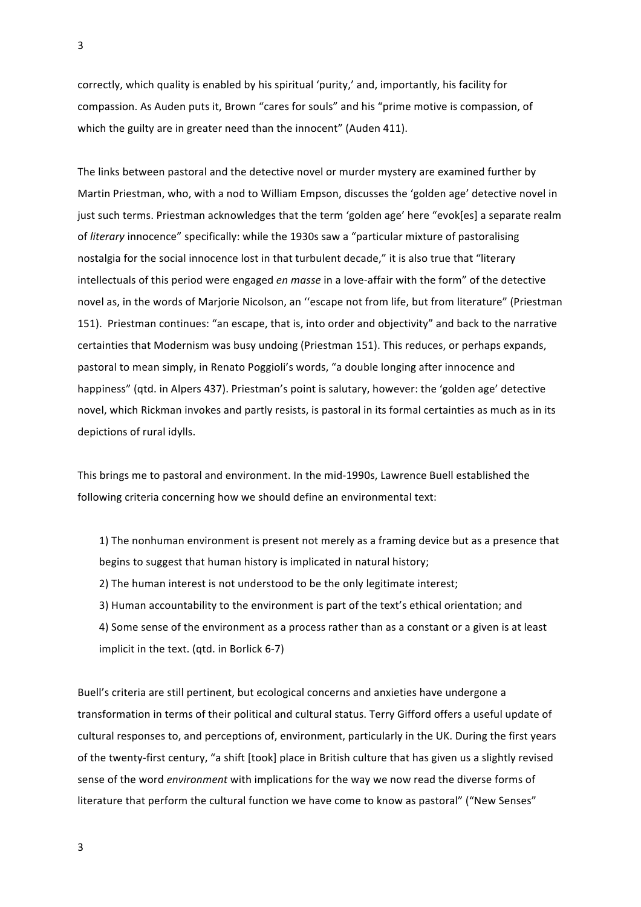correctly, which quality is enabled by his spiritual 'purity,' and, importantly, his facility for compassion. As Auden puts it, Brown "cares for souls" and his "prime motive is compassion, of which the guilty are in greater need than the innocent" (Auden 411).

The links between pastoral and the detective novel or murder mystery are examined further by Martin Priestman, who, with a nod to William Empson, discusses the 'golden age' detective novel in just such terms. Priestman acknowledges that the term 'golden age' here "evok[es] a separate realm of *literary* innocence" specifically: while the 1930s saw a "particular mixture of pastoralising nostalgia for the social innocence lost in that turbulent decade," it is also true that "literary intellectuals of this period were engaged *en masse* in a love-affair with the form" of the detective novel as, in the words of Marjorie Nicolson, an "escape not from life, but from literature" (Priestman 151). Priestman continues: "an escape, that is, into order and objectivity" and back to the narrative certainties that Modernism was busy undoing (Priestman 151). This reduces, or perhaps expands, pastoral to mean simply, in Renato Poggioli's words, "a double longing after innocence and happiness" (qtd. in Alpers 437). Priestman's point is salutary, however: the 'golden age' detective novel, which Rickman invokes and partly resists, is pastoral in its formal certainties as much as in its depictions of rural idylls.

This brings me to pastoral and environment. In the mid-1990s, Lawrence Buell established the following criteria concerning how we should define an environmental text:

1) The nonhuman environment is present not merely as a framing device but as a presence that begins to suggest that human history is implicated in natural history; 2) The human interest is not understood to be the only legitimate interest; 3) Human accountability to the environment is part of the text's ethical orientation; and 4) Some sense of the environment as a process rather than as a constant or a given is at least implicit in the text. (qtd. in Borlick  $6-7$ )

Buell's criteria are still pertinent, but ecological concerns and anxieties have undergone a transformation in terms of their political and cultural status. Terry Gifford offers a useful update of cultural responses to, and perceptions of, environment, particularly in the UK. During the first years of the twenty-first century, "a shift [took] place in British culture that has given us a slightly revised sense of the word *environment* with implications for the way we now read the diverse forms of literature that perform the cultural function we have come to know as pastoral" ("New Senses"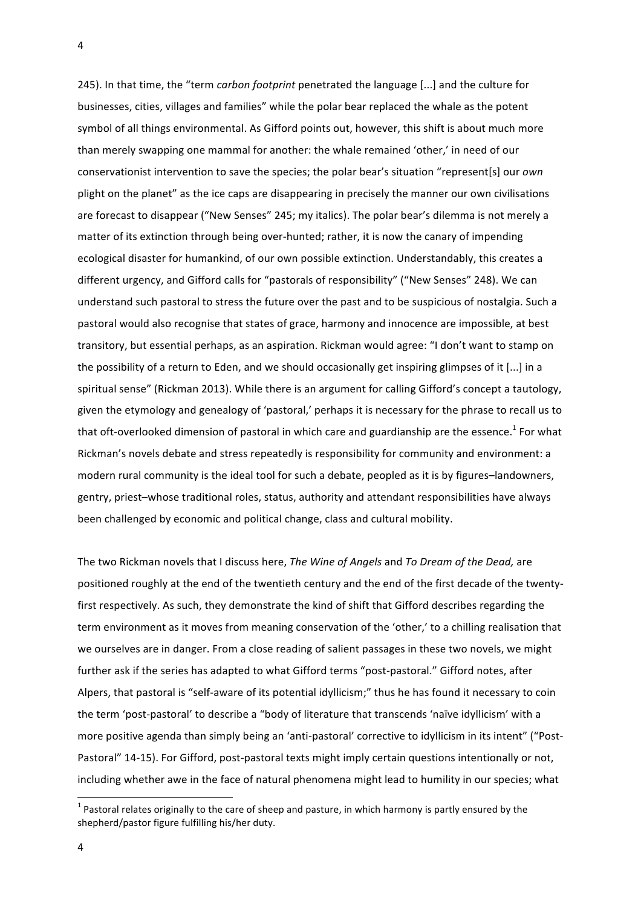245). In that time, the "term *carbon footprint* penetrated the language [...] and the culture for businesses, cities, villages and families" while the polar bear replaced the whale as the potent symbol of all things environmental. As Gifford points out, however, this shift is about much more than merely swapping one mammal for another: the whale remained 'other,' in need of our conservationist intervention to save the species; the polar bear's situation "represent[s] our *own* plight on the planet" as the ice caps are disappearing in precisely the manner our own civilisations are forecast to disappear ("New Senses" 245; my italics). The polar bear's dilemma is not merely a matter of its extinction through being over-hunted; rather, it is now the canary of impending ecological disaster for humankind, of our own possible extinction. Understandably, this creates a different urgency, and Gifford calls for "pastorals of responsibility" ("New Senses" 248). We can understand such pastoral to stress the future over the past and to be suspicious of nostalgia. Such a pastoral would also recognise that states of grace, harmony and innocence are impossible, at best transitory, but essential perhaps, as an aspiration. Rickman would agree: "I don't want to stamp on the possibility of a return to Eden, and we should occasionally get inspiring glimpses of it [...] in a spiritual sense" (Rickman 2013). While there is an argument for calling Gifford's concept a tautology, given the etymology and genealogy of 'pastoral,' perhaps it is necessary for the phrase to recall us to that oft-overlooked dimension of pastoral in which care and guardianship are the essence.<sup>1</sup> For what Rickman's novels debate and stress repeatedly is responsibility for community and environment: a modern rural community is the ideal tool for such a debate, peopled as it is by figures–landowners, gentry, priest-whose traditional roles, status, authority and attendant responsibilities have always been challenged by economic and political change, class and cultural mobility.

The two Rickman novels that I discuss here, *The Wine of Angels* and *To Dream of the Dead*, are positioned roughly at the end of the twentieth century and the end of the first decade of the twentyfirst respectively. As such, they demonstrate the kind of shift that Gifford describes regarding the term environment as it moves from meaning conservation of the 'other,' to a chilling realisation that we ourselves are in danger. From a close reading of salient passages in these two novels, we might further ask if the series has adapted to what Gifford terms "post-pastoral." Gifford notes, after Alpers, that pastoral is "self-aware of its potential idyllicism;" thus he has found it necessary to coin the term 'post-pastoral' to describe a "body of literature that transcends 'naïve idyllicism' with a more positive agenda than simply being an 'anti-pastoral' corrective to idyllicism in its intent" ("Post-Pastoral" 14-15). For Gifford, post-pastoral texts might imply certain questions intentionally or not, including whether awe in the face of natural phenomena might lead to humility in our species; what

<u> 1989 - Jan Samuel Barbara, margaret e</u>

 $<sup>1</sup>$  Pastoral relates originally to the care of sheep and pasture, in which harmony is partly ensured by the</sup> shepherd/pastor figure fulfilling his/her duty.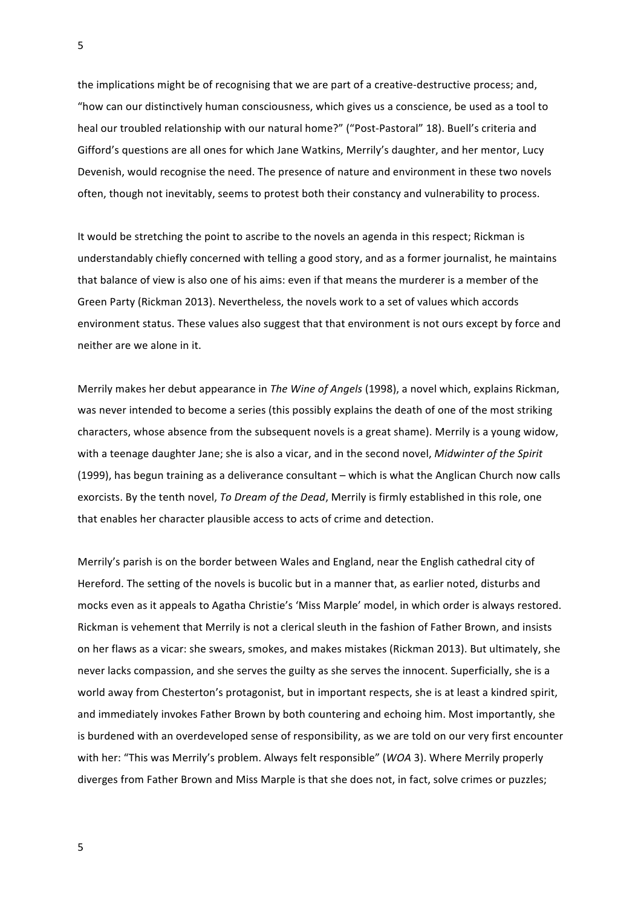the implications might be of recognising that we are part of a creative-destructive process; and, "how can our distinctively human consciousness, which gives us a conscience, be used as a tool to heal our troubled relationship with our natural home?" ("Post-Pastoral" 18). Buell's criteria and Gifford's questions are all ones for which Jane Watkins, Merrily's daughter, and her mentor, Lucy Devenish, would recognise the need. The presence of nature and environment in these two novels often, though not inevitably, seems to protest both their constancy and vulnerability to process.

It would be stretching the point to ascribe to the novels an agenda in this respect; Rickman is understandably chiefly concerned with telling a good story, and as a former journalist, he maintains that balance of view is also one of his aims: even if that means the murderer is a member of the Green Party (Rickman 2013). Nevertheless, the novels work to a set of values which accords environment status. These values also suggest that that environment is not ours except by force and neither are we alone in it.

Merrily makes her debut appearance in *The Wine of Angels* (1998), a novel which, explains Rickman, was never intended to become a series (this possibly explains the death of one of the most striking characters, whose absence from the subsequent novels is a great shame). Merrily is a young widow, with a teenage daughter Jane; she is also a vicar, and in the second novel, *Midwinter of the Spirit* (1999), has begun training as a deliverance consultant – which is what the Anglican Church now calls exorcists. By the tenth novel, To Dream of the Dead, Merrily is firmly established in this role, one that enables her character plausible access to acts of crime and detection.

Merrily's parish is on the border between Wales and England, near the English cathedral city of Hereford. The setting of the novels is bucolic but in a manner that, as earlier noted, disturbs and mocks even as it appeals to Agatha Christie's 'Miss Marple' model, in which order is always restored. Rickman is vehement that Merrily is not a clerical sleuth in the fashion of Father Brown, and insists on her flaws as a vicar: she swears, smokes, and makes mistakes (Rickman 2013). But ultimately, she never lacks compassion, and she serves the guilty as she serves the innocent. Superficially, she is a world away from Chesterton's protagonist, but in important respects, she is at least a kindred spirit, and immediately invokes Father Brown by both countering and echoing him. Most importantly, she is burdened with an overdeveloped sense of responsibility, as we are told on our very first encounter with her: "This was Merrily's problem. Always felt responsible" (*WOA* 3). Where Merrily properly diverges from Father Brown and Miss Marple is that she does not, in fact, solve crimes or puzzles;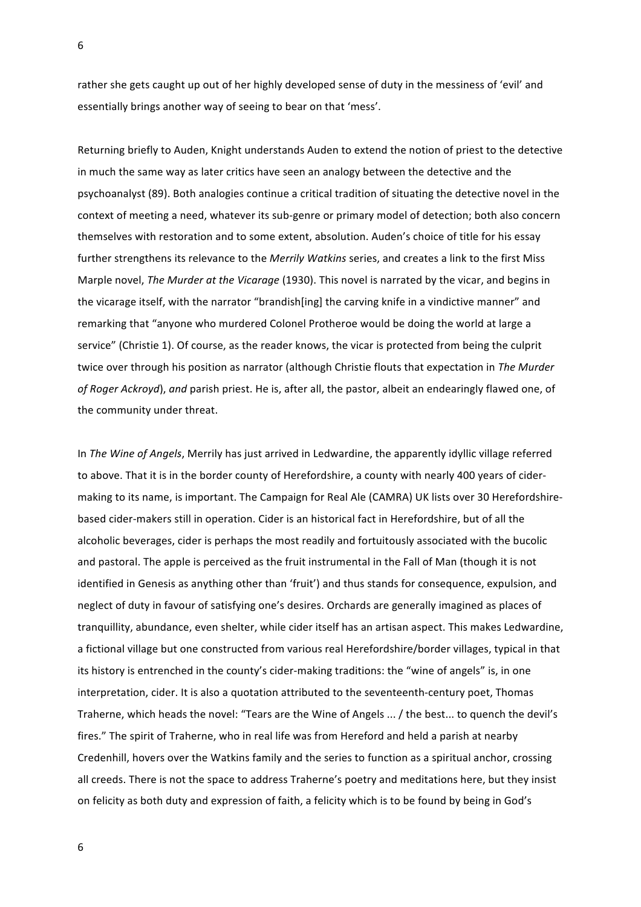rather she gets caught up out of her highly developed sense of duty in the messiness of 'evil' and essentially brings another way of seeing to bear on that 'mess'.

Returning briefly to Auden, Knight understands Auden to extend the notion of priest to the detective in much the same way as later critics have seen an analogy between the detective and the psychoanalyst (89). Both analogies continue a critical tradition of situating the detective novel in the context of meeting a need, whatever its sub-genre or primary model of detection; both also concern themselves with restoration and to some extent, absolution. Auden's choice of title for his essay further strengthens its relevance to the *Merrily Watkins* series, and creates a link to the first Miss Marple novel, *The Murder at the Vicarage* (1930). This novel is narrated by the vicar, and begins in the vicarage itself, with the narrator "brandish[ing] the carving knife in a vindictive manner" and remarking that "anyone who murdered Colonel Protheroe would be doing the world at large a service" (Christie 1). Of course, as the reader knows, the vicar is protected from being the culprit twice over through his position as narrator (although Christie flouts that expectation in *The Murder* of Roger Ackroyd), and parish priest. He is, after all, the pastor, albeit an endearingly flawed one, of the community under threat.

In *The Wine of Angels*, Merrily has just arrived in Ledwardine, the apparently idyllic village referred to above. That it is in the border county of Herefordshire, a county with nearly 400 years of cidermaking to its name, is important. The Campaign for Real Ale (CAMRA) UK lists over 30 Herefordshirebased cider-makers still in operation. Cider is an historical fact in Herefordshire, but of all the alcoholic beverages, cider is perhaps the most readily and fortuitously associated with the bucolic and pastoral. The apple is perceived as the fruit instrumental in the Fall of Man (though it is not identified in Genesis as anything other than 'fruit') and thus stands for consequence, expulsion, and neglect of duty in favour of satisfying one's desires. Orchards are generally imagined as places of tranquillity, abundance, even shelter, while cider itself has an artisan aspect. This makes Ledwardine, a fictional village but one constructed from various real Herefordshire/border villages, typical in that its history is entrenched in the county's cider-making traditions: the "wine of angels" is, in one interpretation, cider. It is also a quotation attributed to the seventeenth-century poet, Thomas Traherne, which heads the novel: "Tears are the Wine of Angels ... / the best... to quench the devil's fires." The spirit of Traherne, who in real life was from Hereford and held a parish at nearby Credenhill, hovers over the Watkins family and the series to function as a spiritual anchor, crossing all creeds. There is not the space to address Traherne's poetry and meditations here, but they insist on felicity as both duty and expression of faith, a felicity which is to be found by being in God's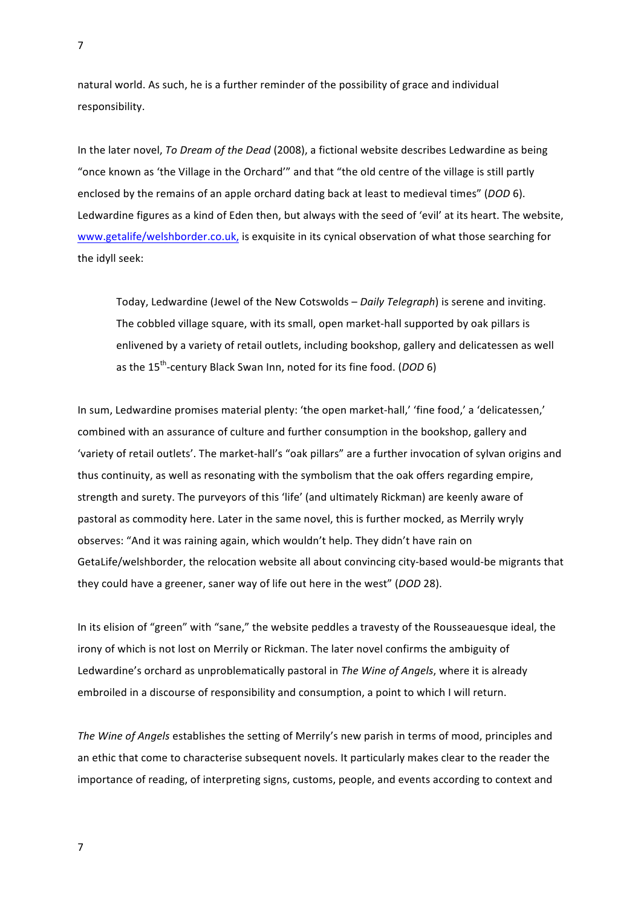natural world. As such, he is a further reminder of the possibility of grace and individual responsibility.

In the later novel, To Dream of the Dead (2008), a fictional website describes Ledwardine as being "once known as 'the Village in the Orchard'" and that "the old centre of the village is still partly enclosed by the remains of an apple orchard dating back at least to medieval times" (*DOD* 6). Ledwardine figures as a kind of Eden then, but always with the seed of 'evil' at its heart. The website, www.getalife/welshborder.co.uk, is exquisite in its cynical observation of what those searching for the idyll seek:

Today, Ledwardine (Jewel of the New Cotswolds – *Daily Telegraph*) is serene and inviting. The cobbled village square, with its small, open market-hall supported by oak pillars is enlivened by a variety of retail outlets, including bookshop, gallery and delicatessen as well as the 15<sup>th</sup>-century Black Swan Inn, noted for its fine food. (*DOD* 6)

In sum, Ledwardine promises material plenty: 'the open market-hall,' 'fine food,' a 'delicatessen,' combined with an assurance of culture and further consumption in the bookshop, gallery and 'variety of retail outlets'. The market-hall's "oak pillars" are a further invocation of sylvan origins and thus continuity, as well as resonating with the symbolism that the oak offers regarding empire, strength and surety. The purveyors of this 'life' (and ultimately Rickman) are keenly aware of pastoral as commodity here. Later in the same novel, this is further mocked, as Merrily wryly observes: "And it was raining again, which wouldn't help. They didn't have rain on GetaLife/welshborder, the relocation website all about convincing city-based would-be migrants that they could have a greener, saner way of life out here in the west" (*DOD* 28).

In its elision of "green" with "sane," the website peddles a travesty of the Rousseauesque ideal, the irony of which is not lost on Merrily or Rickman. The later novel confirms the ambiguity of Ledwardine's orchard as unproblematically pastoral in *The Wine of Angels*, where it is already embroiled in a discourse of responsibility and consumption, a point to which I will return.

The Wine of Angels establishes the setting of Merrily's new parish in terms of mood, principles and an ethic that come to characterise subsequent novels. It particularly makes clear to the reader the importance of reading, of interpreting signs, customs, people, and events according to context and

7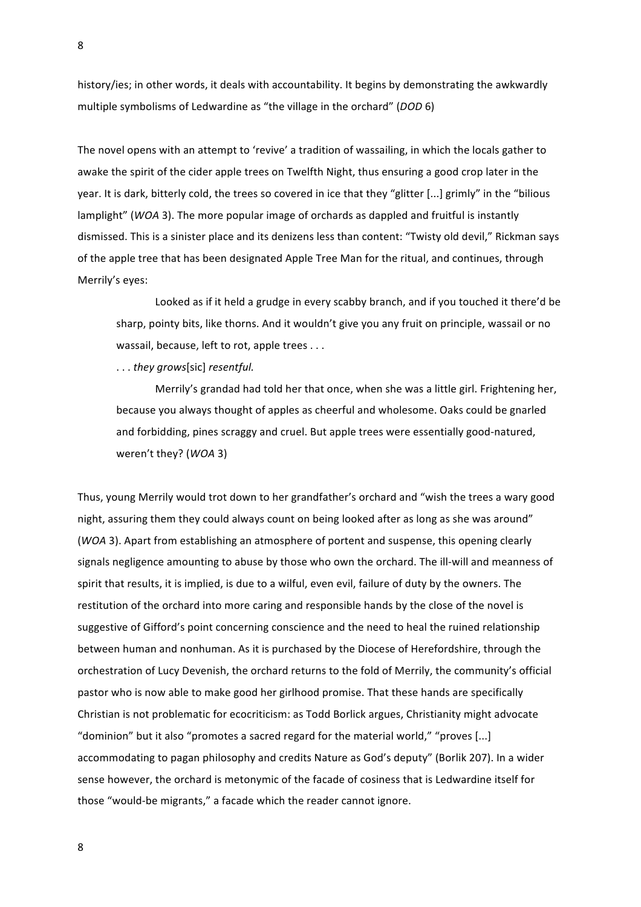history/ies; in other words, it deals with accountability. It begins by demonstrating the awkwardly multiple symbolisms of Ledwardine as "the village in the orchard" (*DOD* 6)

The novel opens with an attempt to 'revive' a tradition of wassailing, in which the locals gather to awake the spirit of the cider apple trees on Twelfth Night, thus ensuring a good crop later in the year. It is dark, bitterly cold, the trees so covered in ice that they "glitter [...] grimly" in the "bilious lamplight" (*WOA* 3). The more popular image of orchards as dappled and fruitful is instantly dismissed. This is a sinister place and its denizens less than content: "Twisty old devil," Rickman says of the apple tree that has been designated Apple Tree Man for the ritual, and continues, through Merrily's eves:

Looked as if it held a grudge in every scabby branch, and if you touched it there'd be sharp, pointy bits, like thorns. And it wouldn't give you any fruit on principle, wassail or no wassail, because, left to rot, apple trees . . .

. . . *they grows*[sic] *resentful.*

Merrily's grandad had told her that once, when she was a little girl. Frightening her, because you always thought of apples as cheerful and wholesome. Oaks could be gnarled and forbidding, pines scraggy and cruel. But apple trees were essentially good-natured, weren't they? (*WOA* 3)

Thus, young Merrily would trot down to her grandfather's orchard and "wish the trees a wary good night, assuring them they could always count on being looked after as long as she was around" (*WOA* 3). Apart from establishing an atmosphere of portent and suspense, this opening clearly signals negligence amounting to abuse by those who own the orchard. The ill-will and meanness of spirit that results, it is implied, is due to a wilful, even evil, failure of duty by the owners. The restitution of the orchard into more caring and responsible hands by the close of the novel is suggestive of Gifford's point concerning conscience and the need to heal the ruined relationship between human and nonhuman. As it is purchased by the Diocese of Herefordshire, through the orchestration of Lucy Devenish, the orchard returns to the fold of Merrily, the community's official pastor who is now able to make good her girlhood promise. That these hands are specifically Christian is not problematic for ecocriticism: as Todd Borlick argues, Christianity might advocate "dominion" but it also "promotes a sacred regard for the material world," "proves  $[...]$ accommodating to pagan philosophy and credits Nature as God's deputy" (Borlik 207). In a wider sense however, the orchard is metonymic of the facade of cosiness that is Ledwardine itself for those "would-be migrants," a facade which the reader cannot ignore.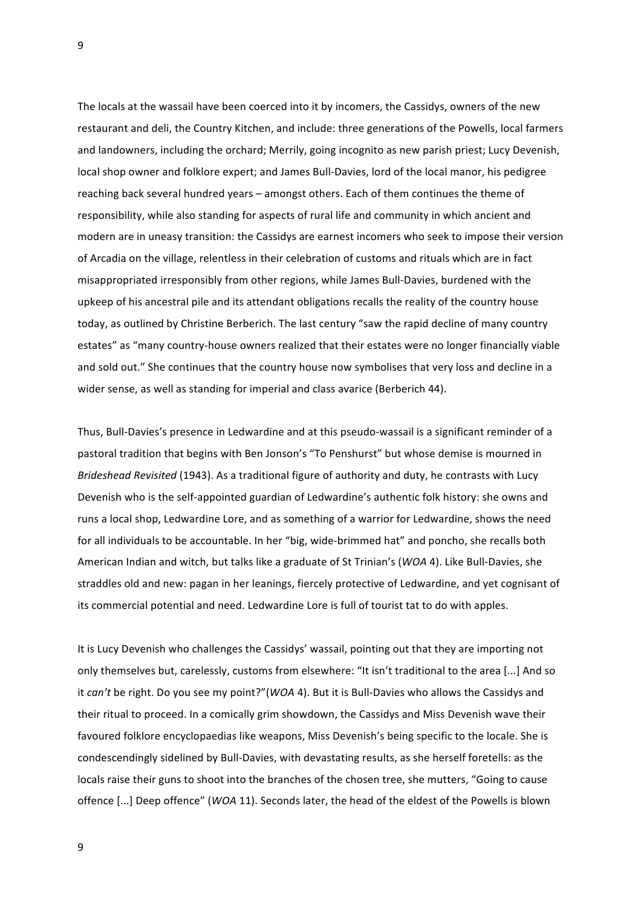The locals at the wassail have been coerced into it by incomers, the Cassidys, owners of the new restaurant and deli, the Country Kitchen, and include: three generations of the Powells, local farmers and landowners, including the orchard; Merrily, going incognito as new parish priest; Lucy Devenish, local shop owner and folklore expert; and James Bull-Davies, lord of the local manor, his pedigree reaching back several hundred years – amongst others. Each of them continues the theme of responsibility, while also standing for aspects of rural life and community in which ancient and modern are in uneasy transition: the Cassidys are earnest incomers who seek to impose their version of Arcadia on the village, relentless in their celebration of customs and rituals which are in fact misappropriated irresponsibly from other regions, while James Bull-Davies, burdened with the upkeep of his ancestral pile and its attendant obligations recalls the reality of the country house today, as outlined by Christine Berberich. The last century "saw the rapid decline of many country estates" as "many country-house owners realized that their estates were no longer financially viable and sold out." She continues that the country house now symbolises that very loss and decline in a wider sense, as well as standing for imperial and class avarice (Berberich 44).

Thus, Bull-Davies's presence in Ledwardine and at this pseudo-wassail is a significant reminder of a pastoral tradition that begins with Ben Jonson's "To Penshurst" but whose demise is mourned in *Brideshead Revisited* (1943). As a traditional figure of authority and duty, he contrasts with Lucy Devenish who is the self-appointed guardian of Ledwardine's authentic folk history: she owns and runs a local shop, Ledwardine Lore, and as something of a warrior for Ledwardine, shows the need for all individuals to be accountable. In her "big, wide-brimmed hat" and poncho, she recalls both American Indian and witch, but talks like a graduate of St Trinian's (*WOA* 4). Like Bull-Davies, she straddles old and new: pagan in her leanings, fiercely protective of Ledwardine, and yet cognisant of its commercial potential and need. Ledwardine Lore is full of tourist tat to do with apples.

It is Lucy Devenish who challenges the Cassidys' wassail, pointing out that they are importing not only themselves but, carelessly, customs from elsewhere: "It isn't traditional to the area [...] And so it *can't* be right. Do you see my point?"(*WOA* 4). But it is Bull-Davies who allows the Cassidys and their ritual to proceed. In a comically grim showdown, the Cassidys and Miss Devenish wave their favoured folklore encyclopaedias like weapons, Miss Devenish's being specific to the locale. She is condescendingly sidelined by Bull-Davies, with devastating results, as she herself foretells: as the locals raise their guns to shoot into the branches of the chosen tree, she mutters, "Going to cause offence [...] Deep offence" (*WOA* 11). Seconds later, the head of the eldest of the Powells is blown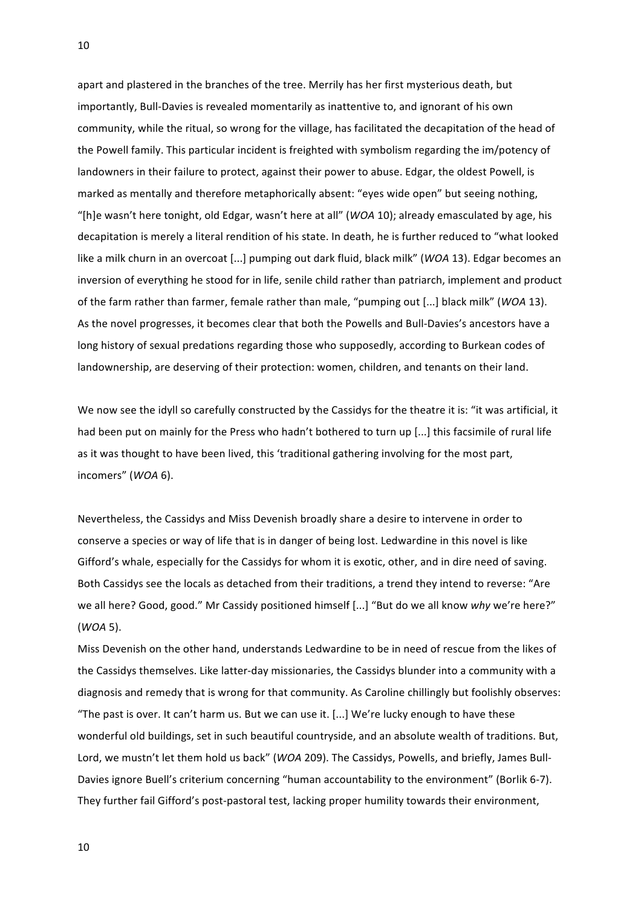apart and plastered in the branches of the tree. Merrily has her first mysterious death, but importantly, Bull-Davies is revealed momentarily as inattentive to, and ignorant of his own community, while the ritual, so wrong for the village, has facilitated the decapitation of the head of the Powell family. This particular incident is freighted with symbolism regarding the im/potency of landowners in their failure to protect, against their power to abuse. Edgar, the oldest Powell, is marked as mentally and therefore metaphorically absent: "eyes wide open" but seeing nothing, "[h]e wasn't here tonight, old Edgar, wasn't here at all" (*WOA* 10); already emasculated by age, his decapitation is merely a literal rendition of his state. In death, he is further reduced to "what looked like a milk churn in an overcoat [...] pumping out dark fluid, black milk" (*WOA* 13). Edgar becomes an inversion of everything he stood for in life, senile child rather than patriarch, implement and product of the farm rather than farmer, female rather than male, "pumping out [...] black milk" (*WOA* 13). As the novel progresses, it becomes clear that both the Powells and Bull-Davies's ancestors have a long history of sexual predations regarding those who supposedly, according to Burkean codes of landownership, are deserving of their protection: women, children, and tenants on their land.

We now see the idyll so carefully constructed by the Cassidys for the theatre it is: "it was artificial, it had been put on mainly for the Press who hadn't bothered to turn up [...] this facsimile of rural life as it was thought to have been lived, this 'traditional gathering involving for the most part, incomers" (*WOA* 6).

Nevertheless, the Cassidys and Miss Devenish broadly share a desire to intervene in order to conserve a species or way of life that is in danger of being lost. Ledwardine in this novel is like Gifford's whale, especially for the Cassidys for whom it is exotic, other, and in dire need of saving. Both Cassidys see the locals as detached from their traditions, a trend they intend to reverse: "Are we all here? Good, good." Mr Cassidy positioned himself [...] "But do we all know why we're here?" (*WOA* 5).

Miss Devenish on the other hand, understands Ledwardine to be in need of rescue from the likes of the Cassidys themselves. Like latter-day missionaries, the Cassidys blunder into a community with a diagnosis and remedy that is wrong for that community. As Caroline chillingly but foolishly observes: "The past is over. It can't harm us. But we can use it. [...] We're lucky enough to have these wonderful old buildings, set in such beautiful countryside, and an absolute wealth of traditions. But, Lord, we mustn't let them hold us back" (*WOA* 209). The Cassidys, Powells, and briefly, James Bull-Davies ignore Buell's criterium concerning "human accountability to the environment" (Borlik 6-7). They further fail Gifford's post-pastoral test, lacking proper humility towards their environment,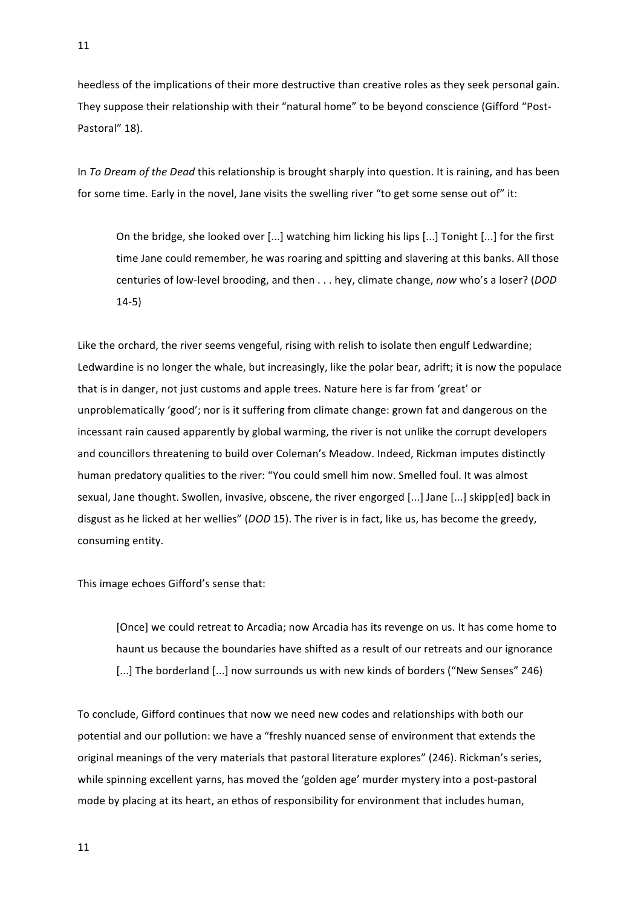heedless of the implications of their more destructive than creative roles as they seek personal gain. They suppose their relationship with their "natural home" to be beyond conscience (Gifford "Post-Pastoral" 18).

In *To Dream of the Dead* this relationship is brought sharply into question. It is raining, and has been for some time. Early in the novel, Jane visits the swelling river "to get some sense out of" it:

On the bridge, she looked over  $[...]$  watching him licking his lips  $[...]$  Tonight  $[...]$  for the first time Jane could remember, he was roaring and spitting and slavering at this banks. All those centuries of low-level brooding, and then . . . hey, climate change, *now* who's a loser? (*DOD* 14-5)

Like the orchard, the river seems vengeful, rising with relish to isolate then engulf Ledwardine; Ledwardine is no longer the whale, but increasingly, like the polar bear, adrift; it is now the populace that is in danger, not just customs and apple trees. Nature here is far from 'great' or unproblematically 'good'; nor is it suffering from climate change: grown fat and dangerous on the incessant rain caused apparently by global warming, the river is not unlike the corrupt developers and councillors threatening to build over Coleman's Meadow. Indeed, Rickman imputes distinctly human predatory qualities to the river: "You could smell him now. Smelled foul. It was almost sexual, Jane thought. Swollen, invasive, obscene, the river engorged [...] Jane [...] skipp[ed] back in disgust as he licked at her wellies" (*DOD* 15). The river is in fact, like us, has become the greedy, consuming entity.

This image echoes Gifford's sense that:

[Once] we could retreat to Arcadia; now Arcadia has its revenge on us. It has come home to haunt us because the boundaries have shifted as a result of our retreats and our ignorance [...] The borderland [...] now surrounds us with new kinds of borders ("New Senses" 246)

To conclude, Gifford continues that now we need new codes and relationships with both our potential and our pollution: we have a "freshly nuanced sense of environment that extends the original meanings of the very materials that pastoral literature explores" (246). Rickman's series, while spinning excellent yarns, has moved the 'golden age' murder mystery into a post-pastoral mode by placing at its heart, an ethos of responsibility for environment that includes human,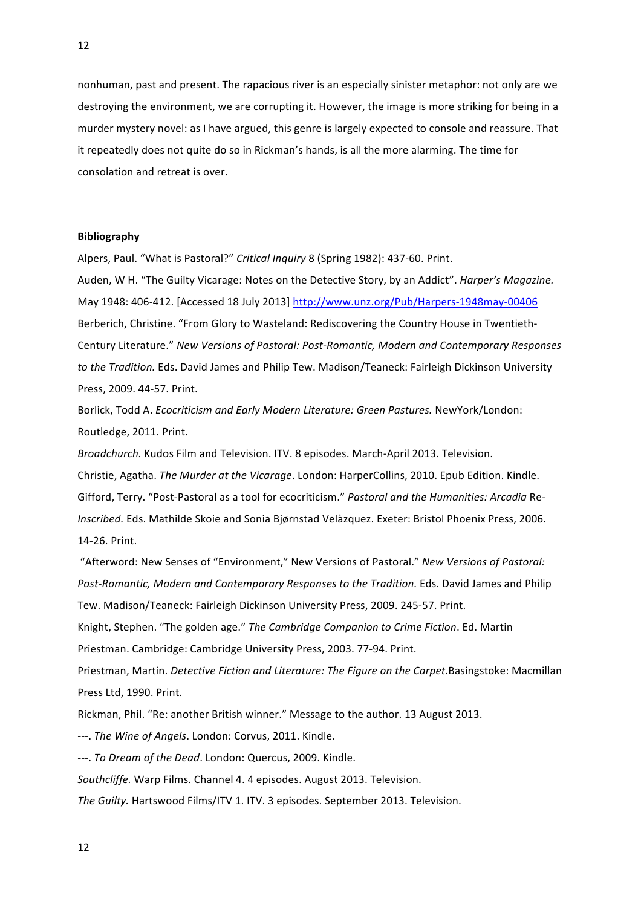nonhuman, past and present. The rapacious river is an especially sinister metaphor: not only are we destroying the environment, we are corrupting it. However, the image is more striking for being in a murder mystery novel: as I have argued, this genre is largely expected to console and reassure. That it repeatedly does not quite do so in Rickman's hands, is all the more alarming. The time for consolation and retreat is over.

## **Bibliography**

Alpers, Paul. "What is Pastoral?" Critical Inquiry 8 (Spring 1982): 437-60. Print.

Auden, W H. "The Guilty Vicarage: Notes on the Detective Story, by an Addict". *Harper's Magazine.* May 1948: 406-412. [Accessed 18 July 2013] http://www.unz.org/Pub/Harpers-1948may-00406 Berberich, Christine. "From Glory to Wasteland: Rediscovering the Country House in Twentieth-Century Literature." *New Versions of Pastoral: Post-Romantic, Modern and Contemporary Responses* to the Tradition. Eds. David James and Philip Tew. Madison/Teaneck: Fairleigh Dickinson University Press, 2009. 44-57. Print.

Borlick, Todd A. *Ecocriticism and Early Modern Literature: Green Pastures.* NewYork/London: Routledge, 2011. Print.

*Broadchurch.* Kudos Film and Television. ITV. 8 episodes. March-April 2013. Television. Christie, Agatha. *The Murder at the Vicarage*. London: HarperCollins, 2010. Epub Edition. Kindle. Gifford, Terry. "Post-Pastoral as a tool for ecocriticism." Pastoral and the Humanities: Arcadia Re-*Inscribed.* Eds. Mathilde Skoie and Sonia Bjørnstad Velàzquez. Exeter: Bristol Phoenix Press, 2006. 14-26. Print.

"Afterword: New Senses of "Environment," New Versions of Pastoral." New Versions of Pastoral: Post-Romantic, Modern and Contemporary Responses to the Tradition. Eds. David James and Philip Tew. Madison/Teaneck: Fairleigh Dickinson University Press, 2009. 245-57. Print.

Knight, Stephen. "The golden age." The Cambridge Companion to Crime Fiction. Ed. Martin Priestman. Cambridge: Cambridge University Press, 2003. 77-94. Print.

Priestman, Martin. *Detective Fiction and Literature: The Figure on the Carpet.* Basingstoke: Macmillan Press Ltd, 1990. Print.

Rickman, Phil. "Re: another British winner." Message to the author. 13 August 2013.

---. The Wine of Angels. London: Corvus, 2011. Kindle.

---. To Dream of the Dead. London: Quercus, 2009. Kindle.

Southcliffe. Warp Films. Channel 4. 4 episodes. August 2013. Television.

The Guilty. Hartswood Films/ITV 1. ITV. 3 episodes. September 2013. Television.